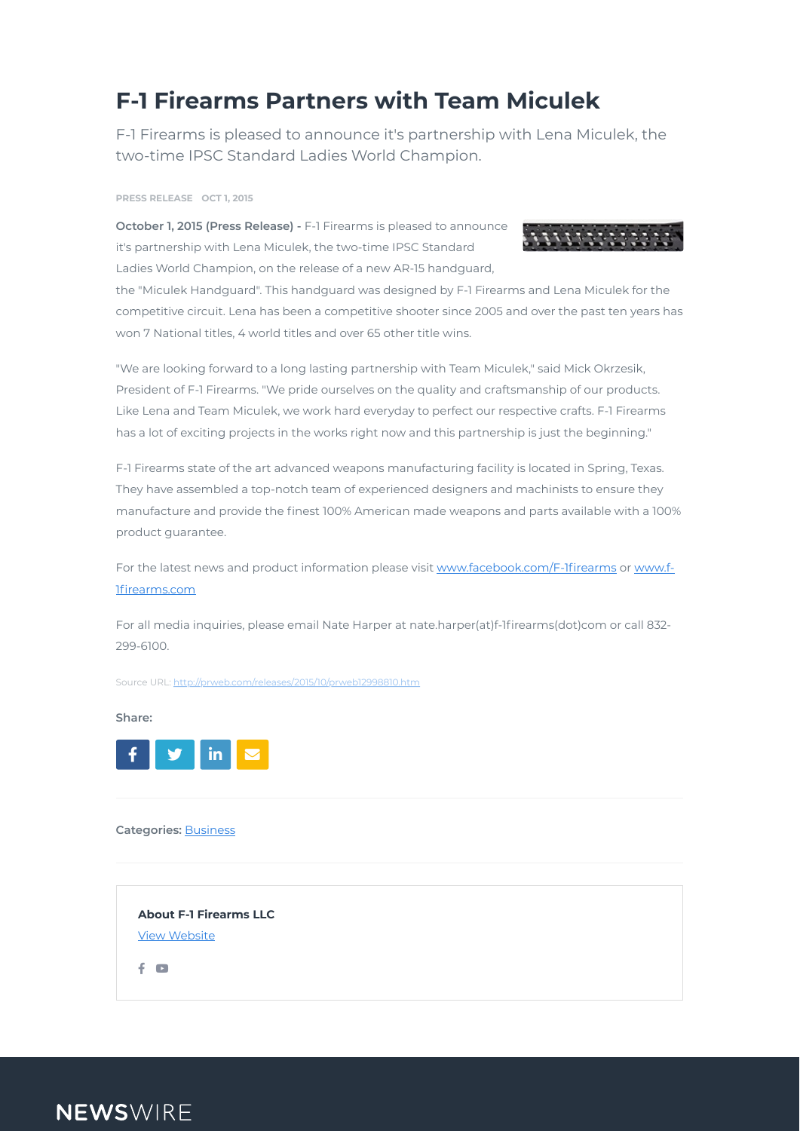## **F-1 Firearms Partners with Team Miculek**

F-1 Firearms is pleased to announce it's partnership with Lena Miculek, the two-time IPSC Standard Ladies World Champion.

**October 1, 2015 (Press Release) -** F-1 Firearms is pleased to announce it's partnership with Lena Miculek, the two-time IPSC Standard Ladies World Champion, on the release of a new AR-15 handguard,



the "Miculek Handguard". This handguard was designed by F-1 Firearms and Lena Miculek for the competitive circuit. Lena has been a competitive shooter since 2005 and over the past ten years has won 7 National titles, 4 world titles and over 65 other title wins.

For all media inquiries, please email Nate Harper at nate.harper(at)f-1firearms(dot)com or call 832-299-6100.

"We are looking forward to a long lasting partnership with Team Miculek," said Mick Okrzesik, President of F-1 Firearms. "We pride ourselves on the quality and craftsmanship of our products. Like Lena and Team Miculek, we work hard everyday to perfect our respective crafts. F-1 Firearms has a lot of exciting projects in the works right now and this partnership is just the beginning."

F-1 Firearms state of the art advanced weapons manufacturing facility is located in Spring, Texas. They have assembled a top-notch team of experienced designers and machinists to ensure they manufacture and provide the finest 100% American made weapons and parts available with a 100% product guarantee.

For the latest news and product information please visit www.facebook.com/F-1firearms or www.f-1firearms.com

#### **Share:**

**Categories:** [Business](https://www.newswire.com/browse/beat/business)

#### **PRESS RELEASE OCT 1, 2015**



Source URL: <http://prweb.com/releases/2015/10/prweb12998810.htm>